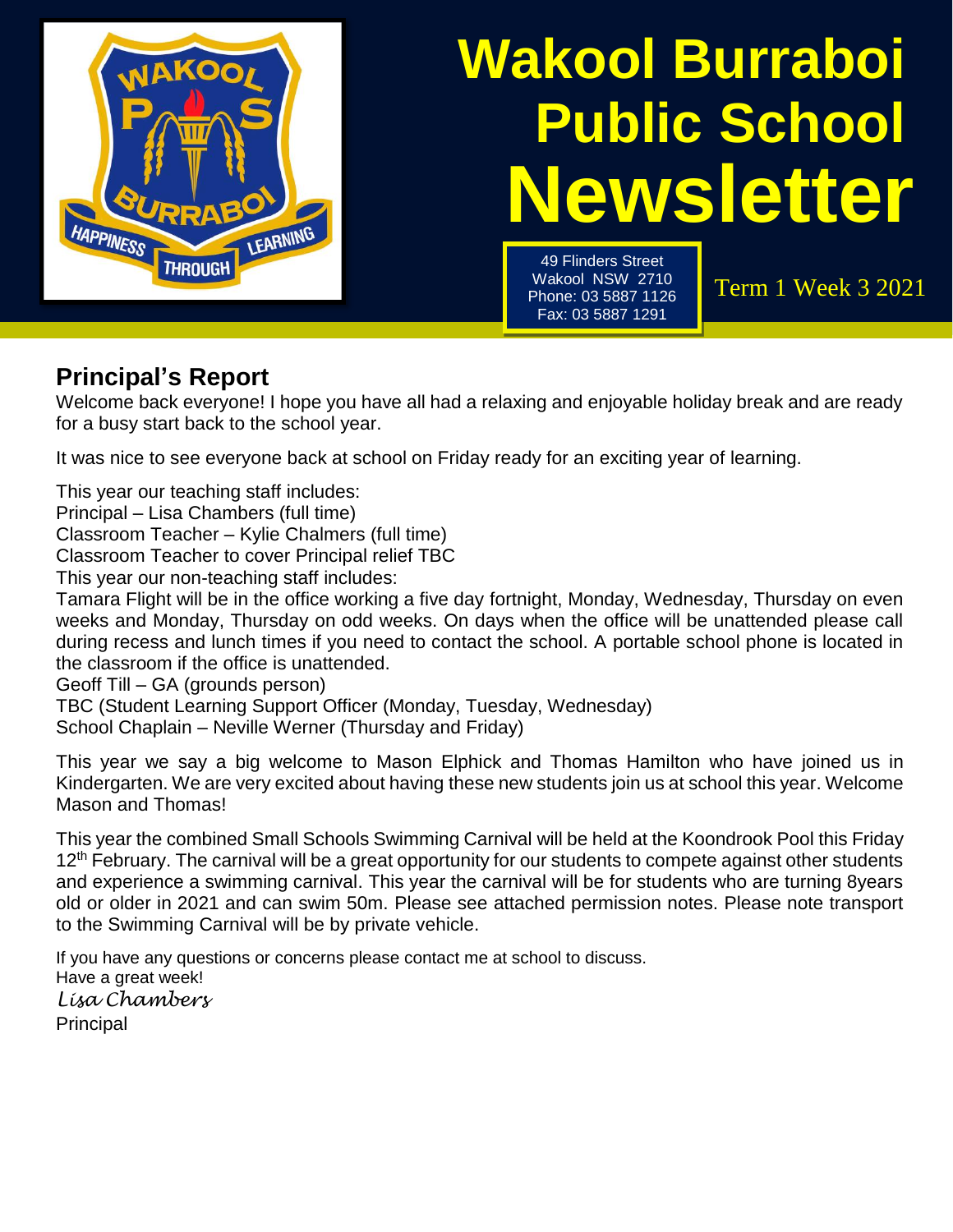

# **Newsletter Wakool Burraboi Public School**

49 Flinders Street Wakool NSW 2710 Phone: 03 5887 1126 Fax: 03 5887 1291

Term 1 Week 3 2021

# **Principal's Report**

Welcome back everyone! I hope you have all had a relaxing and enjoyable holiday break and are ready for a busy start back to the school year.

It was nice to see everyone back at school on Friday ready for an exciting year of learning.

This year our teaching staff includes:

Principal – Lisa Chambers (full time)

Classroom Teacher – Kylie Chalmers (full time)

Classroom Teacher to cover Principal relief TBC

This year our non-teaching staff includes:

Tamara Flight will be in the office working a five day fortnight, Monday, Wednesday, Thursday on even weeks and Monday, Thursday on odd weeks. On days when the office will be unattended please call during recess and lunch times if you need to contact the school. A portable school phone is located in the classroom if the office is unattended.

Geoff Till – GA (grounds person)

TBC (Student Learning Support Officer (Monday, Tuesday, Wednesday)

School Chaplain – Neville Werner (Thursday and Friday)

This year we say a big welcome to Mason Elphick and Thomas Hamilton who have joined us in Kindergarten. We are very excited about having these new students join us at school this year. Welcome Mason and Thomas!

This year the combined Small Schools Swimming Carnival will be held at the Koondrook Pool this Friday 12<sup>th</sup> February. The carnival will be a great opportunity for our students to compete against other students and experience a swimming carnival. This year the carnival will be for students who are turning 8years old or older in 2021 and can swim 50m. Please see attached permission notes. Please note transport to the Swimming Carnival will be by private vehicle.

If you have any questions or concerns please contact me at school to discuss. Have a great week! *Lisa Chambers* Principal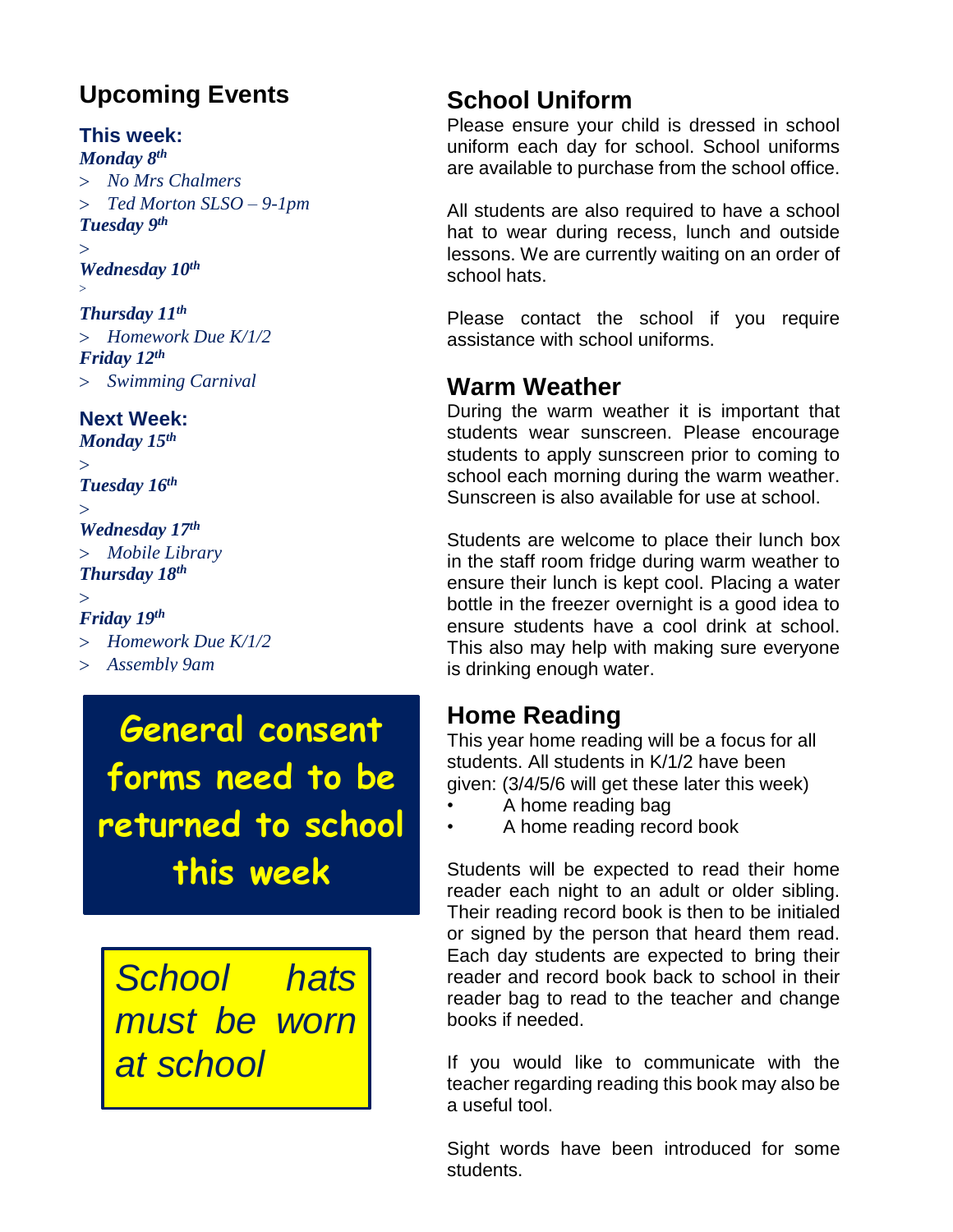# **Upcoming Events**

#### **This week:**

*Monday 8 th* 

 *No Mrs Chalmers Ted Morton SLSO – 9-1pm Tuesday 9 th*   $\mathbf{r}$ 

*Wednesday 10th*

 $>$ 

#### *Thursday 11th*

 *Homework Due K/1/2 Friday 12th Swimming Carnival*

#### **Next Week:**

*Monday 15th*  $\geq$ 

*Tuesday 16th* 

#### $\geq$ *Wednesday 17th*

 *Mobile Library Thursday 18th*

 $\geq$ 

#### *Friday 19th*

- *Homework Due K/1/2*
- *Assembly 9am*

**General consent forms need to be returned to school this week**

*School hats must be worn at school*

# **School Uniform**

Please ensure your child is dressed in school uniform each day for school. School uniforms are available to purchase from the school office.

All students are also required to have a school hat to wear during recess, lunch and outside lessons. We are currently waiting on an order of school hats.

Please contact the school if you require assistance with school uniforms.

#### **Warm Weather**

During the warm weather it is important that students wear sunscreen. Please encourage students to apply sunscreen prior to coming to school each morning during the warm weather. Sunscreen is also available for use at school.

Students are welcome to place their lunch box in the staff room fridge during warm weather to ensure their lunch is kept cool. Placing a water bottle in the freezer overnight is a good idea to ensure students have a cool drink at school. This also may help with making sure everyone is drinking enough water.

# **Home Reading**

This year home reading will be a focus for all students. All students in K/1/2 have been given: (3/4/5/6 will get these later this week)

- A home reading bag
- A home reading record book

Students will be expected to read their home reader each night to an adult or older sibling. Their reading record book is then to be initialed or signed by the person that heard them read. Each day students are expected to bring their reader and record book back to school in their reader bag to read to the teacher and change books if needed.

If you would like to communicate with the teacher regarding reading this book may also be a useful tool.

Sight words have been introduced for some students.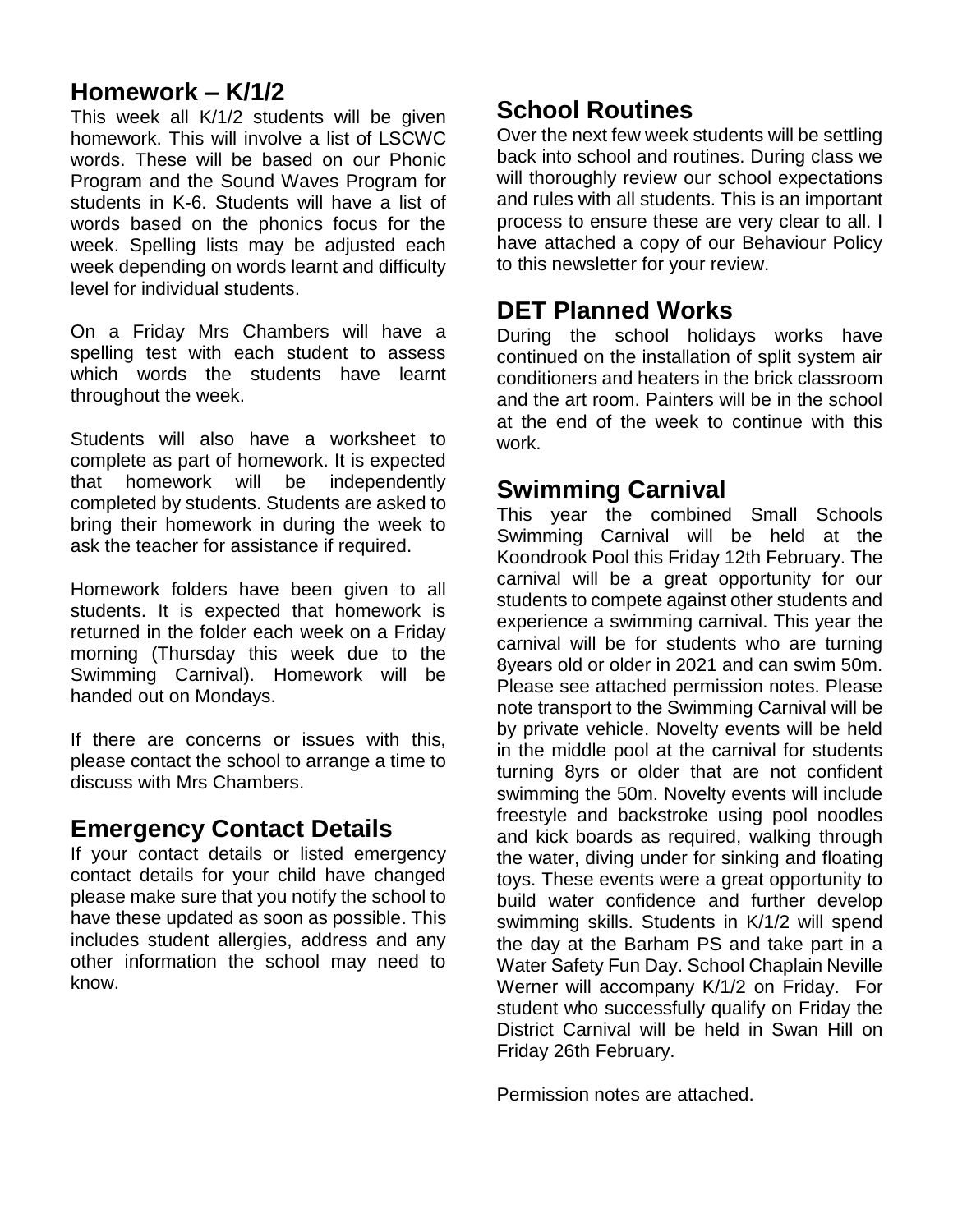# **Homework – K/1/2**

This week all K/1/2 students will be given homework. This will involve a list of LSCWC words. These will be based on our Phonic Program and the Sound Waves Program for students in K-6. Students will have a list of words based on the phonics focus for the week. Spelling lists may be adjusted each week depending on words learnt and difficulty level for individual students.

On a Friday Mrs Chambers will have a spelling test with each student to assess which words the students have learnt throughout the week.

Students will also have a worksheet to complete as part of homework. It is expected that homework will be independently completed by students. Students are asked to bring their homework in during the week to ask the teacher for assistance if required.

Homework folders have been given to all students. It is expected that homework is returned in the folder each week on a Friday morning (Thursday this week due to the Swimming Carnival). Homework will be handed out on Mondays.

If there are concerns or issues with this, please contact the school to arrange a time to discuss with Mrs Chambers.

### **Emergency Contact Details**

If your contact details or listed emergency contact details for your child have changed please make sure that you notify the school to have these updated as soon as possible. This includes student allergies, address and any other information the school may need to know.

# **School Routines**

Over the next few week students will be settling back into school and routines. During class we will thoroughly review our school expectations and rules with all students. This is an important process to ensure these are very clear to all. I have attached a copy of our Behaviour Policy to this newsletter for your review.

### **DET Planned Works**

During the school holidays works have continued on the installation of split system air conditioners and heaters in the brick classroom and the art room. Painters will be in the school at the end of the week to continue with this work.

## **Swimming Carnival**

This year the combined Small Schools Swimming Carnival will be held at the Koondrook Pool this Friday 12th February. The carnival will be a great opportunity for our students to compete against other students and experience a swimming carnival. This year the carnival will be for students who are turning 8years old or older in 2021 and can swim 50m. Please see attached permission notes. Please note transport to the Swimming Carnival will be by private vehicle. Novelty events will be held in the middle pool at the carnival for students turning 8yrs or older that are not confident swimming the 50m. Novelty events will include freestyle and backstroke using pool noodles and kick boards as required, walking through the water, diving under for sinking and floating toys. These events were a great opportunity to build water confidence and further develop swimming skills. Students in K/1/2 will spend the day at the Barham PS and take part in a Water Safety Fun Day. School Chaplain Neville Werner will accompany K/1/2 on Friday. For student who successfully qualify on Friday the District Carnival will be held in Swan Hill on Friday 26th February.

Permission notes are attached.